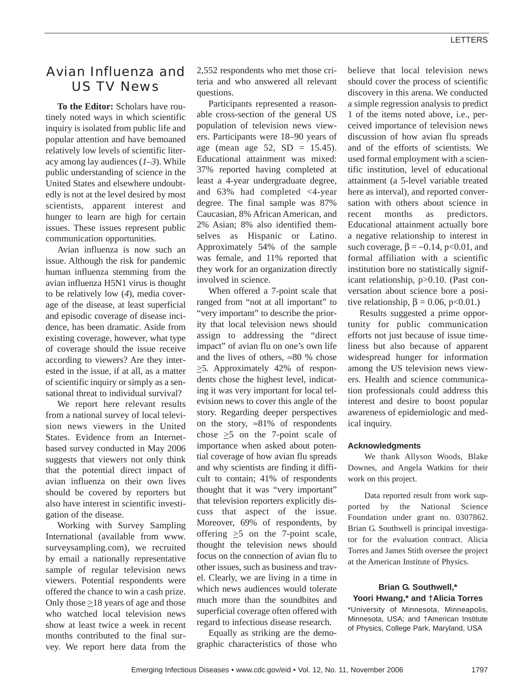# Avian Influenza and US TV News

**To the Editor:** Scholars have routinely noted ways in which scientific inquiry is isolated from public life and popular attention and have bemoaned relatively low levels of scientific literacy among lay audiences (*1*–*3*). While public understanding of science in the United States and elsewhere undoubtedly is not at the level desired by most scientists, apparent interest and hunger to learn are high for certain issues. These issues represent public communication opportunities.

Avian influenza is now such an issue. Although the risk for pandemic human influenza stemming from the avian influenza H5N1 virus is thought to be relatively low (*4*), media coverage of the disease, at least superficial and episodic coverage of disease incidence, has been dramatic. Aside from existing coverage, however, what type of coverage should the issue receive according to viewers? Are they interested in the issue, if at all, as a matter of scientific inquiry or simply as a sensational threat to individual survival?

We report here relevant results from a national survey of local television news viewers in the United States. Evidence from an Internetbased survey conducted in May 2006 suggests that viewers not only think that the potential direct impact of avian influenza on their own lives should be covered by reporters but also have interest in scientific investigation of the disease.

Working with Survey Sampling International (available from www. surveysampling.com), we recruited by email a nationally representative sample of regular television news viewers. Potential respondents were offered the chance to win a cash prize. Only those  $\geq$ 18 years of age and those who watched local television news show at least twice a week in recent months contributed to the final survey. We report here data from the 2,552 respondents who met those criteria and who answered all relevant questions.

Participants represented a reasonable cross-section of the general US population of television news viewers. Participants were 18–90 years of age (mean age  $52$ ,  $SD = 15.45$ ). Educational attainment was mixed: 37% reported having completed at least a 4-year undergraduate degree, and 63% had completed <4-year degree. The final sample was 87% Caucasian, 8% African American, and 2% Asian; 8% also identified themselves as Hispanic or Latino. Approximately 54% of the sample was female, and 11% reported that they work for an organization directly involved in science.

When offered a 7-point scale that ranged from "not at all important" to "very important" to describe the priority that local television news should assign to addressing the "direct impact" of avian flu on one's own life and the lives of others,  $\approx 80$  % chose  $\geq$ 5. Approximately 42% of respondents chose the highest level, indicating it was very important for local television news to cover this angle of the story. Regarding deeper perspectives on the story,  $\approx 81\%$  of respondents chose  $\geq$ 5 on the 7-point scale of importance when asked about potential coverage of how avian flu spreads and why scientists are finding it difficult to contain; 41% of respondents thought that it was "very important" that television reporters explicitly discuss that aspect of the issue. Moreover, 69% of respondents, by offering  $\geq$ 5 on the 7-point scale, thought the television news should focus on the connection of avian flu to other issues, such as business and travel. Clearly, we are living in a time in which news audiences would tolerate much more than the soundbites and superficial coverage often offered with regard to infectious disease research.

Equally as striking are the demographic characteristics of those who believe that local television news should cover the process of scientific discovery in this arena. We conducted a simple regression analysis to predict 1 of the items noted above, i.e., perceived importance of television news discussion of how avian flu spreads and of the efforts of scientists. We used formal employment with a scientific institution, level of educational attainment (a 5-level variable treated here as interval), and reported conversation with others about science in recent months as predictors. Educational attainment actually bore a negative relationship to interest in such coverage,  $\beta = -0.14$ , p<0.01, and formal affiliation with a scientific institution bore no statistically significant relationship, p>0.10. (Past conversation about science bore a positive relationship,  $\beta = 0.06$ , p<0.01.)

Results suggested a prime opportunity for public communication efforts not just because of issue timeliness but also because of apparent widespread hunger for information among the US television news viewers. Health and science communication professionals could address this interest and desire to boost popular awareness of epidemiologic and medical inquiry.

### **Acknowledgments**

We thank Allyson Woods, Blake Downes, and Angela Watkins for their work on this project.

Data reported result from work supported by the National Science Foundation under grant no. 0307862. Brian G. Southwell is principal investigator for the evaluation contract. Alicia Torres and James Stith oversee the project at the American Institute of Physics.

## **Brian G. Southwell,\* Yoori Hwang,\* and †Alicia Torres**

\*University of Minnesota, Minneapolis, Minnesota, USA; and †American Institute of Physics, College Park, Maryland, USA